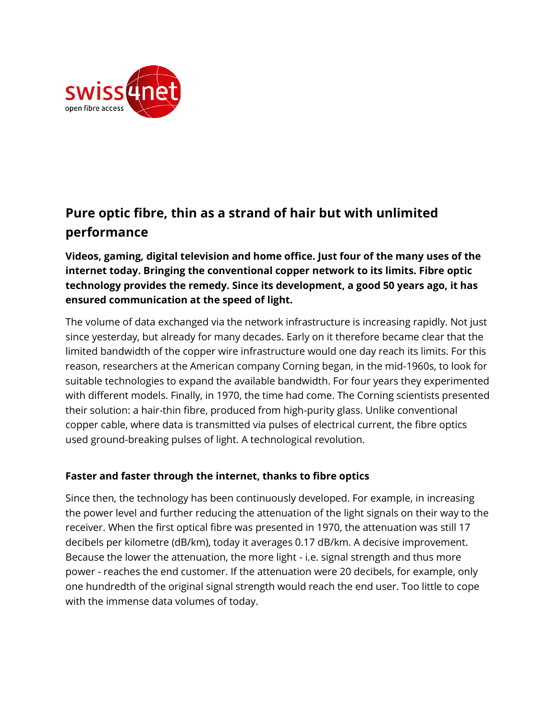

# **Pure optic fibre, thin as a strand of hair but with unlimited performance**

**Videos, gaming, digital television and home office. Just four of the many uses of the internet today. Bringing the conventional copper network to its limits. Fibre optic technology provides the remedy. Since its development, a good 50 years ago, it has ensured communication at the speed of light.**

The volume of data exchanged via the network infrastructure is increasing rapidly. Not just since yesterday, but already for many decades. Early on it therefore became clear that the limited bandwidth of the copper wire infrastructure would one day reach its limits. For this reason, researchers at the American company Corning began, in the mid-1960s, to look for suitable technologies to expand the available bandwidth. For four years they experimented with different models. Finally, in 1970, the time had come. The Corning scientists presented their solution: a hair-thin fibre, produced from high-purity glass. Unlike conventional copper cable, where data is transmitted via pulses of electrical current, the fibre optics used ground-breaking pulses of light. A technological revolution.

## **Faster and faster through the internet, thanks to fibre optics**

Since then, the technology has been continuously developed. For example, in increasing the power level and further reducing the attenuation of the light signals on their way to the receiver. When the first optical fibre was presented in 1970, the attenuation was still 17 decibels per kilometre (dB/km), today it averages 0.17 dB/km. A decisive improvement. Because the lower the attenuation, the more light - i.e. signal strength and thus more power - reaches the end customer. If the attenuation were 20 decibels, for example, only one hundredth of the original signal strength would reach the end user. Too little to cope with the immense data volumes of today.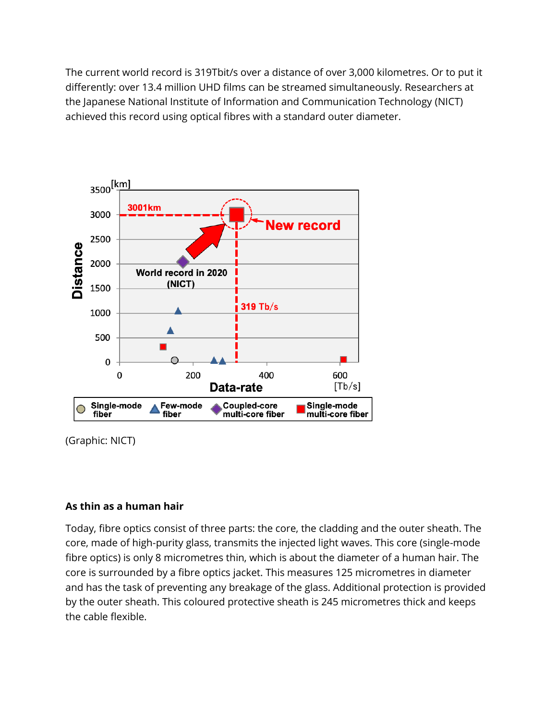The current world record is 319Tbit/s over a distance of over 3,000 kilometres. Or to put it differently: over 13.4 million UHD films can be streamed simultaneously. Researchers at the Japanese National Institute of Information and Communication Technology (NICT) achieved this record using optical fibres with a standard outer diameter.



(Graphic: NICT)

## **As thin as a human hair**

Today, fibre optics consist of three parts: the core, the cladding and the outer sheath. The core, made of high-purity glass, transmits the injected light waves. This core (single-mode fibre optics) is only 8 micrometres thin, which is about the diameter of a human hair. The core is surrounded by a fibre optics jacket. This measures 125 micrometres in diameter and has the task of preventing any breakage of the glass. Additional protection is provided by the outer sheath. This coloured protective sheath is 245 micrometres thick and keeps the cable flexible.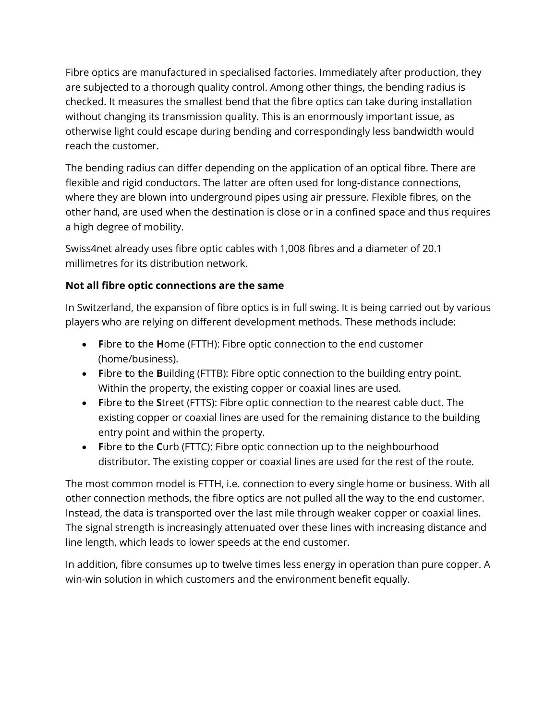Fibre optics are manufactured in specialised factories. Immediately after production, they are subjected to a thorough quality control. Among other things, the bending radius is checked. It measures the smallest bend that the fibre optics can take during installation without changing its transmission quality. This is an enormously important issue, as otherwise light could escape during bending and correspondingly less bandwidth would reach the customer.

The bending radius can differ depending on the application of an optical fibre. There are flexible and rigid conductors. The latter are often used for long-distance connections, where they are blown into underground pipes using air pressure. Flexible fibres, on the other hand, are used when the destination is close or in a confined space and thus requires a high degree of mobility.

Swiss4net already uses fibre optic cables with 1,008 fibres and a diameter of 20.1 millimetres for its distribution network.

# **Not all fibre optic connections are the same**

In Switzerland, the expansion of fibre optics is in full swing. It is being carried out by various players who are relying on different development methods. These methods include:

- **F**ibre **t**o **t**he **H**ome (FTTH): Fibre optic connection to the end customer (home/business).
- **F**ibre **t**o **t**he **B**uilding (FTTB): Fibre optic connection to the building entry point. Within the property, the existing copper or coaxial lines are used.
- **F**ibre **t**o **t**he **S**treet (FTTS): Fibre optic connection to the nearest cable duct. The existing copper or coaxial lines are used for the remaining distance to the building entry point and within the property.
- **F**ibre **t**o **t**he **C**urb (FTTC): Fibre optic connection up to the neighbourhood distributor. The existing copper or coaxial lines are used for the rest of the route.

The most common model is FTTH, i.e. connection to every single home or business. With all other connection methods, the fibre optics are not pulled all the way to the end customer. Instead, the data is transported over the last mile through weaker copper or coaxial lines. The signal strength is increasingly attenuated over these lines with increasing distance and line length, which leads to lower speeds at the end customer.

In addition, fibre consumes up to twelve times less energy in operation than pure copper. A win-win solution in which customers and the environment benefit equally.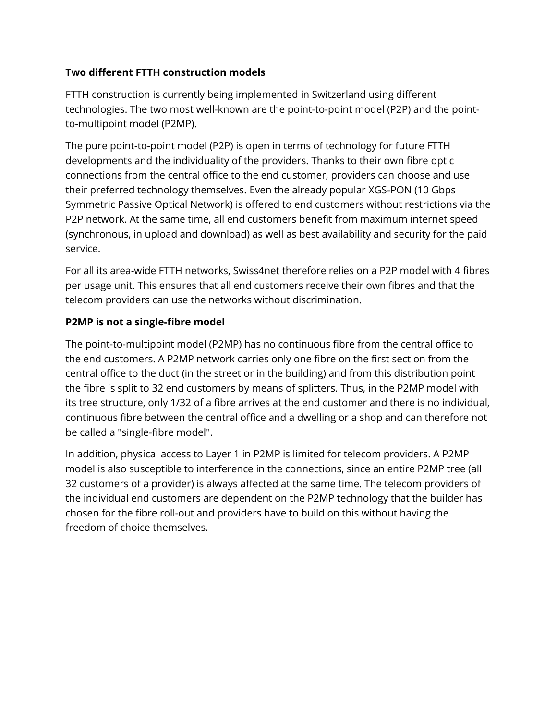## **Two different FTTH construction models**

FTTH construction is currently being implemented in Switzerland using different technologies. The two most well-known are the point-to-point model (P2P) and the pointto-multipoint model (P2MP).

The pure point-to-point model (P2P) is open in terms of technology for future FTTH developments and the individuality of the providers. Thanks to their own fibre optic connections from the central office to the end customer, providers can choose and use their preferred technology themselves. Even the already popular XGS-PON (10 Gbps Symmetric Passive Optical Network) is offered to end customers without restrictions via the P2P network. At the same time, all end customers benefit from maximum internet speed (synchronous, in upload and download) as well as best availability and security for the paid service.

For all its area-wide FTTH networks, Swiss4net therefore relies on a P2P model with 4 fibres per usage unit. This ensures that all end customers receive their own fibres and that the telecom providers can use the networks without discrimination.

# **P2MP is not a single-fibre model**

The point-to-multipoint model (P2MP) has no continuous fibre from the central office to the end customers. A P2MP network carries only one fibre on the first section from the central office to the duct (in the street or in the building) and from this distribution point the fibre is split to 32 end customers by means of splitters. Thus, in the P2MP model with its tree structure, only 1/32 of a fibre arrives at the end customer and there is no individual, continuous fibre between the central office and a dwelling or a shop and can therefore not be called a "single-fibre model".

In addition, physical access to Layer 1 in P2MP is limited for telecom providers. A P2MP model is also susceptible to interference in the connections, since an entire P2MP tree (all 32 customers of a provider) is always affected at the same time. The telecom providers of the individual end customers are dependent on the P2MP technology that the builder has chosen for the fibre roll-out and providers have to build on this without having the freedom of choice themselves.